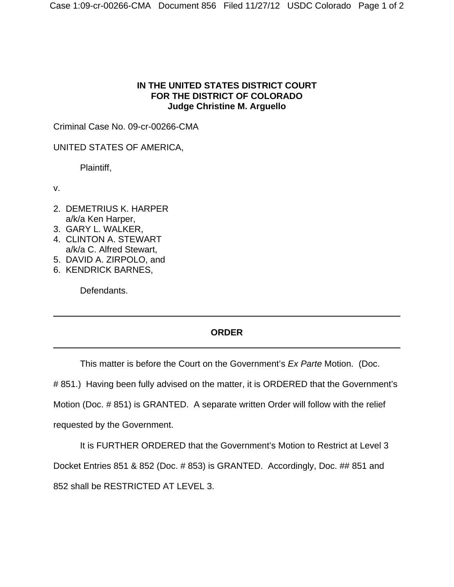## **IN THE UNITED STATES DISTRICT COURT FOR THE DISTRICT OF COLORADO Judge Christine M. Arguello**

Criminal Case No. 09-cr-00266-CMA

UNITED STATES OF AMERICA,

Plaintiff,

v.

- 2. DEMETRIUS K. HARPER a/k/a Ken Harper,
- 3. GARY L. WALKER,
- 4. CLINTON A. STEWART a/k/a C. Alfred Stewart,
- 5. DAVID A. ZIRPOLO, and
- 6. KENDRICK BARNES,

Defendants.

## **ORDER**

This matter is before the Court on the Government's *Ex Parte* Motion. (Doc.

# 851.) Having been fully advised on the matter, it is ORDERED that the Government's

Motion (Doc. # 851) is GRANTED. A separate written Order will follow with the relief

requested by the Government.

It is FURTHER ORDERED that the Government's Motion to Restrict at Level 3 Docket Entries 851 & 852 (Doc. # 853) is GRANTED. Accordingly, Doc. ## 851 and 852 shall be RESTRICTED AT LEVEL 3.